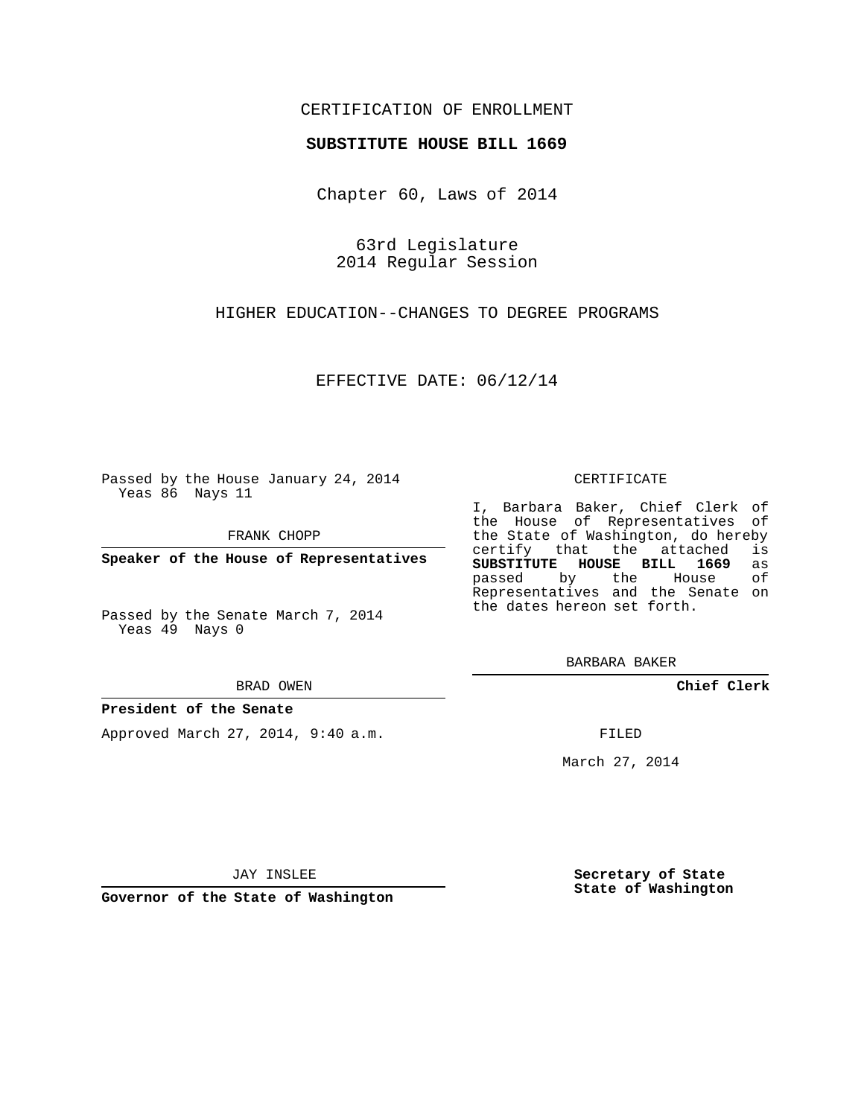### CERTIFICATION OF ENROLLMENT

#### **SUBSTITUTE HOUSE BILL 1669**

Chapter 60, Laws of 2014

63rd Legislature 2014 Regular Session

HIGHER EDUCATION--CHANGES TO DEGREE PROGRAMS

EFFECTIVE DATE: 06/12/14

Passed by the House January 24, 2014 Yeas 86 Nays 11

FRANK CHOPP

**Speaker of the House of Representatives**

Passed by the Senate March 7, 2014 Yeas 49 Nays 0

BRAD OWEN

#### **President of the Senate**

Approved March 27, 2014, 9:40 a.m.

CERTIFICATE

I, Barbara Baker, Chief Clerk of the House of Representatives of the State of Washington, do hereby<br>certify that the attached is certify that the attached **SUBSTITUTE HOUSE BILL 1669** as passed by the House of Representatives and the Senate on the dates hereon set forth.

BARBARA BAKER

**Chief Clerk**

FILED

March 27, 2014

JAY INSLEE

**Governor of the State of Washington**

**Secretary of State State of Washington**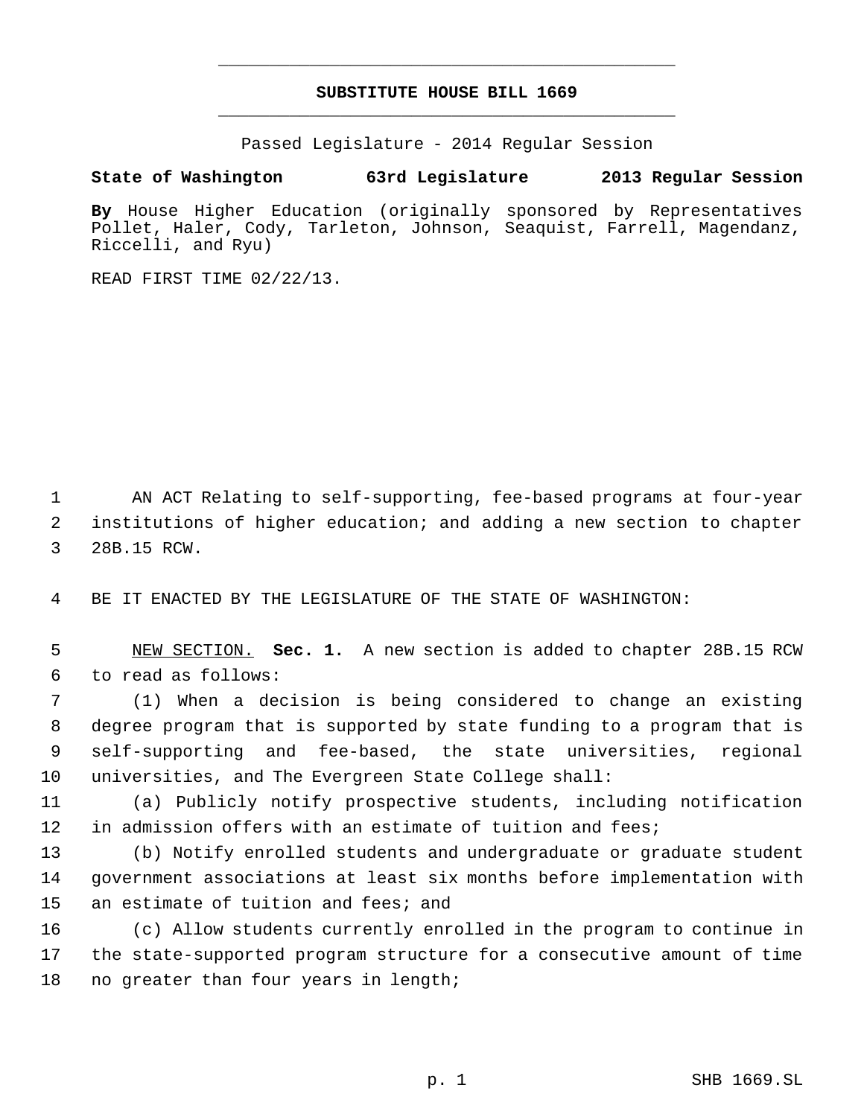# **SUBSTITUTE HOUSE BILL 1669** \_\_\_\_\_\_\_\_\_\_\_\_\_\_\_\_\_\_\_\_\_\_\_\_\_\_\_\_\_\_\_\_\_\_\_\_\_\_\_\_\_\_\_\_\_

\_\_\_\_\_\_\_\_\_\_\_\_\_\_\_\_\_\_\_\_\_\_\_\_\_\_\_\_\_\_\_\_\_\_\_\_\_\_\_\_\_\_\_\_\_

Passed Legislature - 2014 Regular Session

## **State of Washington 63rd Legislature 2013 Regular Session**

**By** House Higher Education (originally sponsored by Representatives Pollet, Haler, Cody, Tarleton, Johnson, Seaquist, Farrell, Magendanz, Riccelli, and Ryu)

READ FIRST TIME 02/22/13.

 AN ACT Relating to self-supporting, fee-based programs at four-year institutions of higher education; and adding a new section to chapter 28B.15 RCW.

BE IT ENACTED BY THE LEGISLATURE OF THE STATE OF WASHINGTON:

 NEW SECTION. **Sec. 1.** A new section is added to chapter 28B.15 RCW to read as follows:

 (1) When a decision is being considered to change an existing degree program that is supported by state funding to a program that is self-supporting and fee-based, the state universities, regional universities, and The Evergreen State College shall:

 (a) Publicly notify prospective students, including notification in admission offers with an estimate of tuition and fees;

 (b) Notify enrolled students and undergraduate or graduate student government associations at least six months before implementation with an estimate of tuition and fees; and

 (c) Allow students currently enrolled in the program to continue in the state-supported program structure for a consecutive amount of time 18 no greater than four years in length;